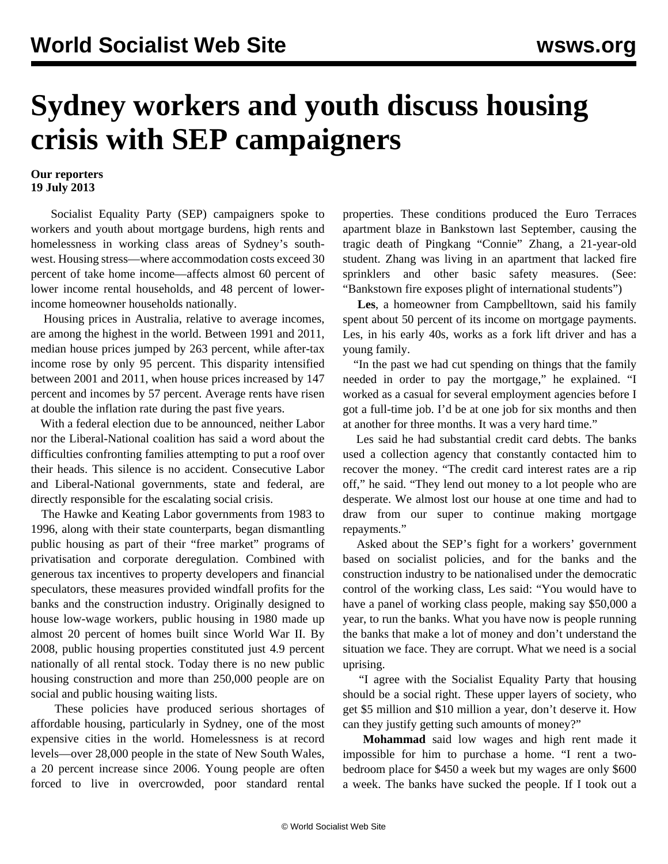## **Sydney workers and youth discuss housing crisis with SEP campaigners**

## **Our reporters 19 July 2013**

 Socialist Equality Party (SEP) campaigners spoke to workers and youth about mortgage burdens, high rents and homelessness in working class areas of Sydney's southwest. Housing stress—where accommodation costs exceed 30 percent of take home income—affects almost 60 percent of lower income rental households, and 48 percent of lowerincome homeowner households nationally.

 Housing prices in Australia, relative to average incomes, are among the highest in the world. Between 1991 and 2011, median house prices jumped by 263 percent, while after-tax income rose by only 95 percent. This disparity intensified between 2001 and 2011, when house prices increased by 147 percent and incomes by 57 percent. Average rents have risen at double the inflation rate during the past five years.

 With a federal election due to be announced, neither Labor nor the Liberal-National coalition has said a word about the difficulties confronting families attempting to put a roof over their heads. This silence is no accident. Consecutive Labor and Liberal-National governments, state and federal, are directly responsible for the escalating social crisis.

 The Hawke and Keating Labor governments from 1983 to 1996, along with their state counterparts, began dismantling public housing as part of their "free market" programs of privatisation and corporate deregulation. Combined with generous tax incentives to property developers and financial speculators, these measures provided windfall profits for the banks and the construction industry. Originally designed to house low-wage workers, public housing in 1980 made up almost 20 percent of homes built since World War II. By 2008, public housing properties constituted just 4.9 percent nationally of all rental stock. Today there is no new public housing construction and more than 250,000 people are on social and public housing waiting lists.

 These policies have produced serious shortages of affordable housing, particularly in Sydney, one of the most expensive cities in the world. Homelessness is at record levels—over 28,000 people in the state of New South Wales, a 20 percent increase since 2006. Young people are often forced to live in overcrowded, poor standard rental

properties. These conditions produced the Euro Terraces apartment blaze in Bankstown last September, causing the tragic death of Pingkang "Connie" Zhang, a 21-year-old student. Zhang was living in an apartment that lacked fire sprinklers and other basic safety measures. (See: ["Bankstown fire exposes plight of international students"](/en/articles/2012/10/stud-o09.html))

 **Les**, a homeowner from Campbelltown, said his family spent about 50 percent of its income on mortgage payments. Les, in his early 40s, works as a fork lift driver and has a young family.

 "In the past we had cut spending on things that the family needed in order to pay the mortgage," he explained. "I worked as a casual for several employment agencies before I got a full-time job. I'd be at one job for six months and then at another for three months. It was a very hard time."

 Les said he had substantial credit card debts. The banks used a collection agency that constantly contacted him to recover the money. "The credit card interest rates are a rip off," he said. "They lend out money to a lot people who are desperate. We almost lost our house at one time and had to draw from our super to continue making mortgage repayments."

 Asked about the SEP's fight for a workers' government based on socialist policies, and for the banks and the construction industry to be nationalised under the democratic control of the working class, Les said: "You would have to have a panel of working class people, making say \$50,000 a year, to run the banks. What you have now is people running the banks that make a lot of money and don't understand the situation we face. They are corrupt. What we need is a social uprising.

 "I agree with the Socialist Equality Party that housing should be a social right. These upper layers of society, who get \$5 million and \$10 million a year, don't deserve it. How can they justify getting such amounts of money?"

 **Mohammad** said low wages and high rent made it impossible for him to purchase a home. "I rent a twobedroom place for \$450 a week but my wages are only \$600 a week. The banks have sucked the people. If I took out a